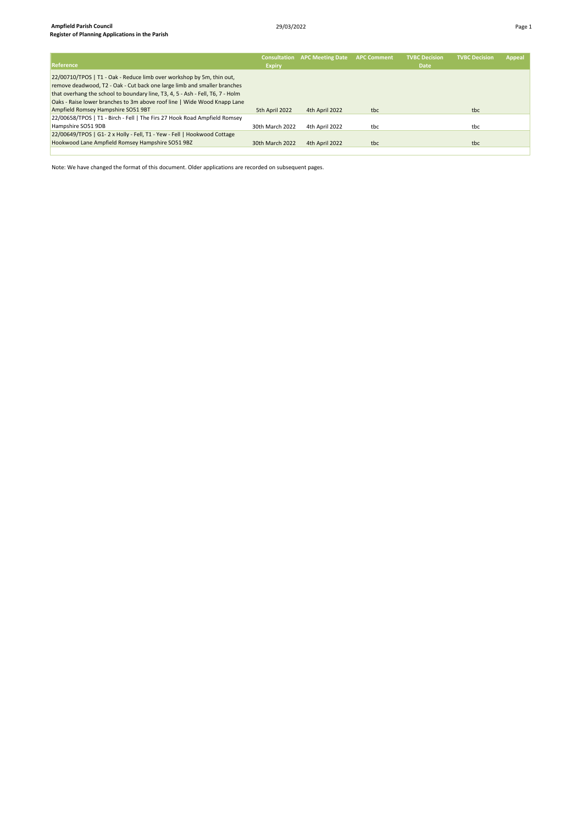| Reference                                                                                                                                                                                                                                                                                                       | <b>Consultation</b><br><b>Expiry</b> | <b>APC Meeting Date</b> | <b>APC Comment</b> | <b>TVBC Decision</b><br><b>Date</b> | <b>TVBC Decision</b> | <b>Appeal</b> |
|-----------------------------------------------------------------------------------------------------------------------------------------------------------------------------------------------------------------------------------------------------------------------------------------------------------------|--------------------------------------|-------------------------|--------------------|-------------------------------------|----------------------|---------------|
| 22/00710/TPOS   T1 - Oak - Reduce limb over workshop by 5m, thin out,<br>remove deadwood, T2 - Oak - Cut back one large limb and smaller branches<br>that overhang the school to boundary line, T3, 4, 5 - Ash - Fell, T6, 7 - Holm<br>Oaks - Raise lower branches to 3m above roof line   Wide Wood Knapp Lane |                                      |                         |                    |                                     |                      |               |
| Ampfield Romsey Hampshire SO51 9BT                                                                                                                                                                                                                                                                              | 5th April 2022                       | 4th April 2022          | tbc                |                                     | tbc                  |               |
| 22/00658/TPOS   T1 - Birch - Fell   The Firs 27 Hook Road Ampfield Romsey                                                                                                                                                                                                                                       |                                      |                         |                    |                                     |                      |               |
| Hampshire SO51 9DB                                                                                                                                                                                                                                                                                              | 30th March 2022                      | 4th April 2022          | tbc                |                                     | tbc                  |               |
| 22/00649/TPOS   G1-2 x Holly - Fell, T1 - Yew - Fell   Hookwood Cottage                                                                                                                                                                                                                                         |                                      |                         |                    |                                     |                      |               |
| Hookwood Lane Ampfield Romsey Hampshire SO51 9BZ                                                                                                                                                                                                                                                                | 30th March 2022                      | 4th April 2022          | tbc                |                                     | tbc                  |               |
|                                                                                                                                                                                                                                                                                                                 |                                      |                         |                    |                                     |                      |               |

Note: We have changed the format of this document. Older applications are recorded on subsequent pages.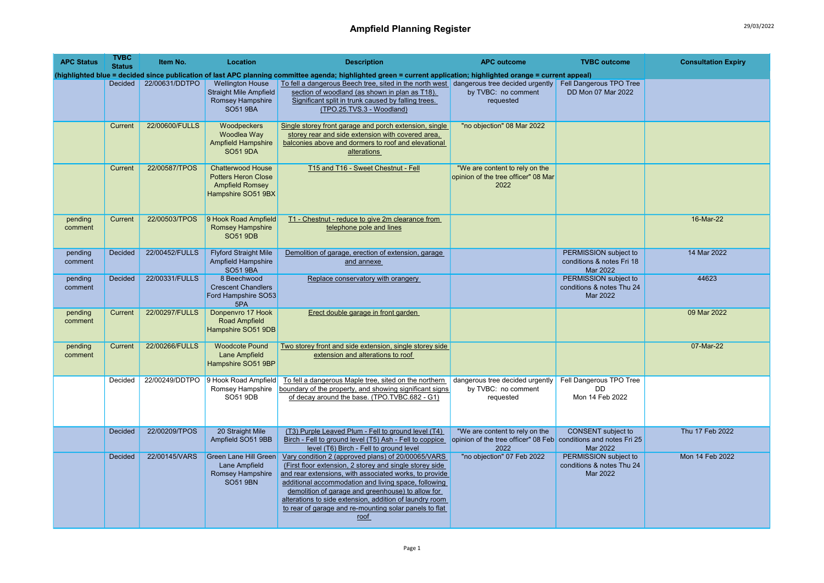| <b>APC Status</b>  | <b>TVBC</b><br><b>Status</b> | Item No.       | Location                                                                                        | <b>Description</b>                                                                                                                                                                                                                                                                                                                                                                                                | <b>APC outcome</b>                                                                                        | <b>TVBC</b> outcome                                            | <b>Consultation Expiry</b> |
|--------------------|------------------------------|----------------|-------------------------------------------------------------------------------------------------|-------------------------------------------------------------------------------------------------------------------------------------------------------------------------------------------------------------------------------------------------------------------------------------------------------------------------------------------------------------------------------------------------------------------|-----------------------------------------------------------------------------------------------------------|----------------------------------------------------------------|----------------------------|
|                    |                              |                |                                                                                                 | (highlighted blue = decided since publication of last APC planning committee agenda; highlighted green = current application; highlighted orange = current appeal)                                                                                                                                                                                                                                                |                                                                                                           |                                                                |                            |
|                    | Decided                      | 22/00631/DDTPO | <b>Wellington House</b><br><b>Straight Mile Ampfield</b><br>Romsey Hampshire<br><b>SO51 9BA</b> | To fell a dangerous Beech tree, sited in the north west dangerous tree decided urgently Fell Dangerous TPO Tree<br>section of woodland (as shown in plan as T18).<br>Significant split in trunk caused by falling trees.<br>(TPO.25.TVS.3 - Woodland)                                                                                                                                                             | by TVBC: no comment<br>requested                                                                          | DD Mon 07 Mar 2022                                             |                            |
|                    | Current                      | 22/00600/FULLS | Woodpeckers<br>Woodlea Way<br><b>Ampfield Hampshire</b><br><b>SO51 9DA</b>                      | Single storey front garage and porch extension, single<br>storey rear and side extension with covered area,<br>balconies above and dormers to roof and elevational<br>alterations                                                                                                                                                                                                                                 | "no objection" 08 Mar 2022                                                                                |                                                                |                            |
|                    | Current                      | 22/00587/TPOS  | Chatterwood House<br><b>Potters Heron Close</b><br><b>Ampfield Romsey</b><br>Hampshire SO51 9BX | T15 and T16 - Sweet Chestnut - Fell                                                                                                                                                                                                                                                                                                                                                                               | "We are content to rely on the<br>opinion of the tree officer" 08 Mar<br>2022                             |                                                                |                            |
| pending<br>comment | Current                      | 22/00503/TPOS  | 9 Hook Road Ampfield<br><b>Romsey Hampshire</b><br><b>SO51 9DB</b>                              | T1 - Chestnut - reduce to give 2m clearance from<br>telephone pole and lines                                                                                                                                                                                                                                                                                                                                      |                                                                                                           |                                                                | 16-Mar-22                  |
| pending<br>comment | <b>Decided</b>               | 22/00452/FULLS | <b>Flyford Straight Mile</b><br><b>Ampfield Hampshire</b><br><b>SO51 9BA</b>                    | Demolition of garage, erection of extension, garage<br>and annexe                                                                                                                                                                                                                                                                                                                                                 |                                                                                                           | PERMISSION subject to<br>conditions & notes Fri 18<br>Mar 2022 | 14 Mar 2022                |
| pending<br>comment | <b>Decided</b>               | 22/00331/FULLS | 8 Beechwood<br><b>Crescent Chandlers</b><br>Ford Hampshire SO53<br>5PA                          | Replace conservatory with orangery                                                                                                                                                                                                                                                                                                                                                                                |                                                                                                           | PERMISSION subject to<br>conditions & notes Thu 24<br>Mar 2022 | 44623                      |
| pending<br>comment | Current                      | 22/00297/FULLS | Donpenvro 17 Hook<br><b>Road Ampfield</b><br>Hampshire SO51 9DB                                 | Erect double garage in front garden                                                                                                                                                                                                                                                                                                                                                                               |                                                                                                           |                                                                | 09 Mar 2022                |
| pending<br>comment | Current                      | 22/00266/FULLS | <b>Woodcote Pound</b><br>Lane Ampfield<br>Hampshire SO51 9BP                                    | Two storey front and side extension, single storey side<br>extension and alterations to roof                                                                                                                                                                                                                                                                                                                      |                                                                                                           |                                                                | 07-Mar-22                  |
|                    | Decided                      |                | 22/00249/DDTPO 9 Hook Road Ampfield<br>Romsey Hampshire<br>SO51 9DB                             | To fell a dangerous Maple tree, sited on the northern<br>boundary of the property, and showing significant signs<br>of decay around the base. (TPO.TVBC.682 - G1)                                                                                                                                                                                                                                                 | dangerous tree decided urgently<br>by TVBC: no comment<br>requested                                       | Fell Dangerous TPO Tree<br><b>DD</b><br>Mon 14 Feb 2022        |                            |
|                    | <b>Decided</b>               | 22/00209/TPOS  | 20 Straight Mile<br>Ampfield SO51 9BB                                                           | (T3) Purple Leaved Plum - Fell to ground level (T4)<br>Birch - Fell to ground level (T5) Ash - Fell to coppice<br>level (T6) Birch - Fell to ground level                                                                                                                                                                                                                                                         | "We are content to rely on the<br>opinion of the tree officer" 08 Feb conditions and notes Fri 25<br>2022 | <b>CONSENT</b> subject to<br>Mar 2022                          | Thu 17 Feb 2022            |
|                    | Decided                      | 22/00145/VARS  | <b>Green Lane Hill Green</b><br>Lane Ampfield<br>Romsey Hampshire<br><b>SO51 9BN</b>            | Vary condition 2 (approved plans) of 20/00065/VARS<br>(First floor extension, 2 storey and single storey side<br>and rear extensions, with associated works, to provide<br>additional accommodation and living space, following<br>demolition of garage and greenhouse) to allow for<br>alterations to side extension, addition of laundry room<br>to rear of garage and re-mounting solar panels to flat<br>roof | "no objection" 07 Feb 2022                                                                                | PERMISSION subject to<br>conditions & notes Thu 24<br>Mar 2022 | Mon 14 Feb 2022            |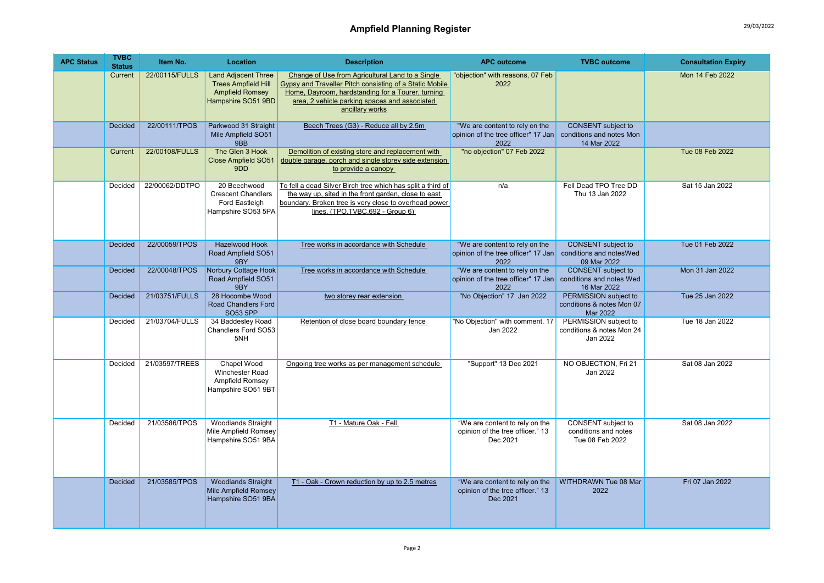| <b>APC Status</b> | <b>TVBC</b><br><b>Status</b> | Item No.       | <b>Location</b>                                                                                          | <b>Description</b>                                                                                                                                                                                                                   | <b>APC outcome</b>                                                             | <b>TVBC</b> outcome                                                  | <b>Consultation Expiry</b> |
|-------------------|------------------------------|----------------|----------------------------------------------------------------------------------------------------------|--------------------------------------------------------------------------------------------------------------------------------------------------------------------------------------------------------------------------------------|--------------------------------------------------------------------------------|----------------------------------------------------------------------|----------------------------|
|                   | Current                      | 22/00115/FULLS | <b>Land Adjacent Three</b><br><b>Trees Ampfield Hill</b><br><b>Ampfield Romsey</b><br>Hampshire SO51 9BD | Change of Use from Agricultural Land to a Single<br>Gypsy and Traveller Pitch consisting of a Static Mobile<br>Home, Dayroom, hardstanding for a Tourer, turning<br>area, 2 vehicle parking spaces and associated<br>ancillary works | "objection" with reasons, 07 Feb<br>2022                                       |                                                                      | Mon 14 Feb 2022            |
|                   | <b>Decided</b>               | 22/00111/TPOS  | Parkwood 31 Straight<br>Mile Ampfield SO51<br>9BB                                                        | Beech Trees (G3) - Reduce all by 2.5m                                                                                                                                                                                                | "We are content to rely on the<br>opinion of the tree officer" 17 Jan<br>2022  | <b>CONSENT</b> subject to<br>conditions and notes Mon<br>14 Mar 2022 |                            |
|                   | Current                      | 22/00108/FULLS | The Glen 3 Hook<br><b>Close Ampfield SO51</b><br>9DD                                                     | Demolition of existing store and replacement with<br>double garage, porch and single storey side extension<br>to provide a canopy                                                                                                    | "no objection" 07 Feb 2022                                                     |                                                                      | Tue 08 Feb 2022            |
|                   | Decided                      | 22/00062/DDTPO | 20 Beechwood<br><b>Crescent Chandlers</b><br>Ford Eastleigh<br>Hampshire SO53 5PA                        | To fell a dead Silver Birch tree which has split a third of<br>the way up, sited in the front garden, close to east<br>boundary. Broken tree is very close to overhead power<br>lines. (TPO.TVBC.692 - Group 6)                      | n/a                                                                            | Fell Dead TPO Tree DD<br>Thu 13 Jan 2022                             | Sat 15 Jan 2022            |
|                   | <b>Decided</b>               | 22/00059/TPOS  | Hazelwood Hook<br>Road Ampfield SO51<br>9BY                                                              | Tree works in accordance with Schedule                                                                                                                                                                                               | "We are content to rely on the<br>opinion of the tree officer" 17 Jan<br>2022  | <b>CONSENT</b> subject to<br>conditions and notes Wed<br>09 Mar 2022 | Tue 01 Feb 2022            |
|                   | <b>Decided</b>               | 22/00048/TPOS  | Norbury Cottage Hook<br>Road Ampfield SO51<br>9BY                                                        | Tree works in accordance with Schedule                                                                                                                                                                                               | "We are content to rely on the<br>opinion of the tree officer" 17 Jan<br>2022  | <b>CONSENT</b> subject to<br>conditions and notes Wed<br>16 Mar 2022 | Mon 31 Jan 2022            |
|                   | <b>Decided</b>               | 21/03751/FULLS | 28 Hocombe Wood<br><b>Road Chandlers Ford</b><br><b>SO53 5PP</b>                                         | two storey rear extension                                                                                                                                                                                                            | "No Objection" 17 Jan 2022                                                     | PERMISSION subject to<br>conditions & notes Mon 07<br>Mar 2022       | Tue 25 Jan 2022            |
|                   | Decided                      | 21/03704/FULLS | 34 Baddesley Road<br>Chandlers Ford SO53<br>5NH                                                          | Retention of close board boundary fence                                                                                                                                                                                              | "No Objection" with comment. 17<br>Jan 2022                                    | PERMISSION subject to<br>conditions & notes Mon 24<br>Jan 2022       | Tue 18 Jan 2022            |
|                   | Decided                      | 21/03597/TREES | Chapel Wood<br>Winchester Road<br>Ampfield Romsey<br>Hampshire SO51 9BT                                  | Ongoing tree works as per management schedule                                                                                                                                                                                        | "Support" 13 Dec 2021                                                          | NO OBJECTION, Fri 21<br>Jan 2022                                     | Sat 08 Jan 2022            |
|                   | Decided                      | 21/03586/TPOS  | <b>Woodlands Straight</b><br>Mile Ampfield Romsey<br>Hampshire SO51 9BA                                  | T1 - Mature Oak - Fell                                                                                                                                                                                                               | "We are content to rely on the<br>opinion of the tree officer." 13<br>Dec 2021 | CONSENT subject to<br>conditions and notes<br>Tue 08 Feb 2022        | Sat 08 Jan 2022            |
|                   | <b>Decided</b>               | 21/03585/TPOS  | <b>Woodlands Straight</b><br><b>Mile Ampfield Romsey</b><br>Hampshire SO51 9BA                           | T1 - Oak - Crown reduction by up to 2.5 metres                                                                                                                                                                                       | "We are content to rely on the<br>opinion of the tree officer." 13<br>Dec 2021 | <b>WITHDRAWN Tue 08 Mar</b><br>2022                                  | Fri 07 Jan 2022            |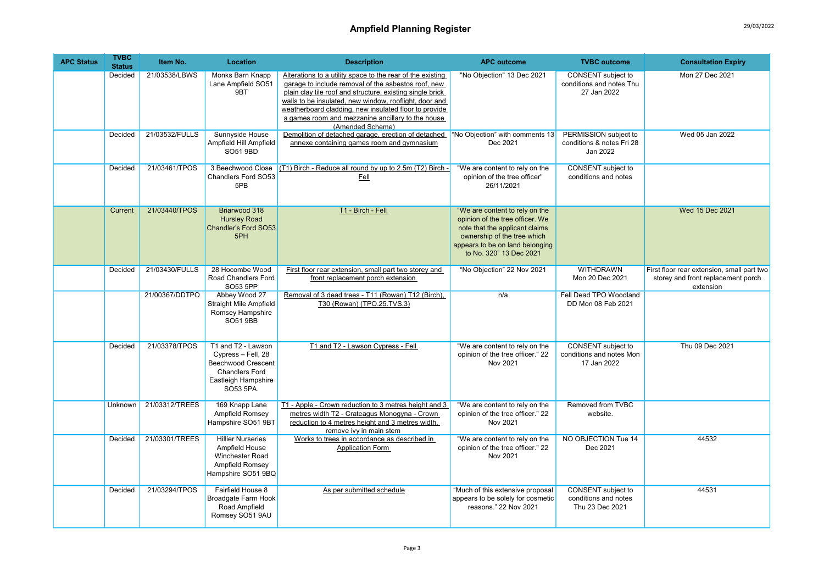## Ampfield Planning Register 29/03/2022

| <b>APC Status</b> | <b>TVBC</b><br><b>Status</b> | Item No.       | Location                                                                                                                    | <b>Description</b>                                                                                                                                                                                                                                                                                                                                                         | <b>APC outcome</b>                                                                                                                                                                               | <b>TVBC</b> outcome                                            | <b>Consultation Expiry</b>                                                                    |
|-------------------|------------------------------|----------------|-----------------------------------------------------------------------------------------------------------------------------|----------------------------------------------------------------------------------------------------------------------------------------------------------------------------------------------------------------------------------------------------------------------------------------------------------------------------------------------------------------------------|--------------------------------------------------------------------------------------------------------------------------------------------------------------------------------------------------|----------------------------------------------------------------|-----------------------------------------------------------------------------------------------|
|                   | Decided                      | 21/03538/LBWS  | Monks Barn Knapp<br>Lane Ampfield SO51<br>9BT                                                                               | Alterations to a utility space to the rear of the existing<br>garage to include removal of the asbestos roof, new<br>plain clay tile roof and structure, existing single brick<br>walls to be insulated, new window, rooflight, door and<br>weatherboard cladding, new insulated floor to provide<br>a games room and mezzanine ancillary to the house<br>(Amended Scheme) | "No Objection" 13 Dec 2021                                                                                                                                                                       | CONSENT subject to<br>conditions and notes Thu<br>27 Jan 2022  | Mon 27 Dec 2021                                                                               |
|                   | Decided                      | 21/03532/FULLS | Sunnyside House<br>Ampfield Hill Ampfield<br>SO51 9BD                                                                       | Demolition of detached garage, erection of detached<br>annexe containing games room and gymnasium                                                                                                                                                                                                                                                                          | "No Objection" with comments 13<br>Dec 2021                                                                                                                                                      | PERMISSION subject to<br>conditions & notes Fri 28<br>Jan 2022 | Wed 05 Jan 2022                                                                               |
|                   | Decided                      | 21/03461/TPOS  | 3 Beechwood Close<br>Chandlers Ford SO53<br>5PB                                                                             | (T1) Birch - Reduce all round by up to 2.5m (T2) Birch -<br>Fell                                                                                                                                                                                                                                                                                                           | "We are content to rely on the<br>opinion of the tree officer"<br>26/11/2021                                                                                                                     | CONSENT subject to<br>conditions and notes                     |                                                                                               |
|                   | Current                      | 21/03440/TPOS  | Briarwood 318<br><b>Hursley Road</b><br>Chandler's Ford SO53<br>5PH                                                         | T1 - Birch - Fell                                                                                                                                                                                                                                                                                                                                                          | "We are content to rely on the<br>opinion of the tree officer. We<br>note that the applicant claims<br>ownership of the tree which<br>appears to be on land belonging<br>to No. 320" 13 Dec 2021 |                                                                | Wed 15 Dec 2021                                                                               |
|                   | Decided                      | 21/03430/FULLS | 28 Hocombe Wood<br>Road Chandlers Ford<br>SO53 5PP                                                                          | First floor rear extension, small part two storey and<br>front replacement porch extension                                                                                                                                                                                                                                                                                 | "No Objection" 22 Nov 2021                                                                                                                                                                       | <b>WITHDRAWN</b><br>Mon 20 Dec 2021                            | First floor rear extension, small part two<br>storey and front replacement porch<br>extension |
|                   |                              | 21/00367/DDTPO | Abbey Wood 27<br><b>Straight Mile Ampfield</b><br>Romsey Hampshire<br><b>SO51 9BB</b>                                       | Removal of 3 dead trees - T11 (Rowan) T12 (Birch),<br>T30 (Rowan) (TPO.25.TVS.3)                                                                                                                                                                                                                                                                                           | n/a                                                                                                                                                                                              | Fell Dead TPO Woodland<br>DD Mon 08 Feb 2021                   |                                                                                               |
|                   | Decided                      | 21/03378/TPOS  | T1 and T2 - Lawson<br>Cypress - Fell, 28<br>Beechwood Crescent<br><b>Chandlers Ford</b><br>Eastleigh Hampshire<br>SO53 5PA. | T1 and T2 - Lawson Cypress - Fell                                                                                                                                                                                                                                                                                                                                          | "We are content to rely on the<br>opinion of the tree officer." 22<br>Nov 2021                                                                                                                   | CONSENT subject to<br>conditions and notes Mon<br>17 Jan 2022  | Thu 09 Dec 2021                                                                               |
|                   | Unknown                      | 21/03312/TREES | 169 Knapp Lane<br>Ampfield Romsey<br>Hampshire SO51 9BT                                                                     | T1 - Apple - Crown reduction to 3 metres height and 3<br>metres width T2 - Crateagus Monogyna - Crown<br>reduction to 4 metres height and 3 metres width,<br>remove ivy in main stem                                                                                                                                                                                       | "We are content to rely on the<br>opinion of the tree officer." 22<br>Nov 2021                                                                                                                   | Removed from TVBC<br>website.                                  |                                                                                               |
|                   | Decided                      | 21/03301/TREES | <b>Hillier Nurseries</b><br>Ampfield House<br>Winchester Road<br>Ampfield Romsey<br>Hampshire SO51 9BQ                      | Works to trees in accordance as described in<br>Application Form                                                                                                                                                                                                                                                                                                           | "We are content to rely on the<br>opinion of the tree officer." 22<br>Nov 2021                                                                                                                   | NO OBJECTION Tue 14<br>Dec 2021                                | 44532                                                                                         |
|                   | Decided                      | 21/03294/TPOS  | Fairfield House 8<br>Broadgate Farm Hook<br>Road Ampfield<br>Romsey SO51 9AU                                                | As per submitted schedule                                                                                                                                                                                                                                                                                                                                                  | "Much of this extensive proposal<br>appears to be solely for cosmetic<br>reasons." 22 Nov 2021                                                                                                   | CONSENT subject to<br>conditions and notes<br>Thu 23 Dec 2021  | 44531                                                                                         |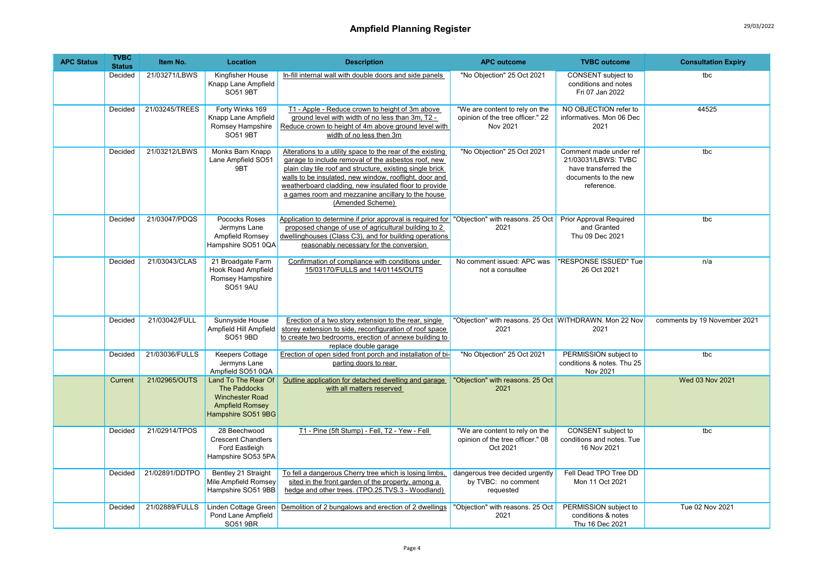| <b>APC Status</b> | <b>TVBC</b><br><b>Status</b> | Item No.       | Location                                                                                                             | <b>Description</b>                                                                                                                                                                                                                                                                                                                                                         | <b>APC outcome</b>                                                             | <b>TVBC</b> outcome                                                                                         | <b>Consultation Expiry</b>   |
|-------------------|------------------------------|----------------|----------------------------------------------------------------------------------------------------------------------|----------------------------------------------------------------------------------------------------------------------------------------------------------------------------------------------------------------------------------------------------------------------------------------------------------------------------------------------------------------------------|--------------------------------------------------------------------------------|-------------------------------------------------------------------------------------------------------------|------------------------------|
|                   | Decided                      | 21/03271/LBWS  | Kingfisher House<br>Knapp Lane Ampfield<br>SO51 9BT                                                                  | In-fill internal wall with double doors and side panels                                                                                                                                                                                                                                                                                                                    | "No Objection" 25 Oct 2021                                                     | CONSENT subject to<br>conditions and notes<br>Fri 07 Jan 2022                                               | tbc                          |
|                   | Decided                      | 21/03245/TREES | Forty Winks 169<br>Knapp Lane Ampfield<br>Romsey Hampshire<br><b>SO51 9BT</b>                                        | T1 - Apple - Reduce crown to height of 3m above<br>ground level with width of no less than 3m, T2 -<br>Reduce crown to height of 4m above ground level with<br>width of no less then 3m                                                                                                                                                                                    | "We are content to rely on the<br>opinion of the tree officer." 22<br>Nov 2021 | NO OBJECTION refer to<br>informatives. Mon 06 Dec<br>2021                                                   | 44525                        |
|                   | Decided                      | 21/03212/LBWS  | Monks Barn Knapp<br>Lane Ampfield SO51<br>9BT                                                                        | Alterations to a utility space to the rear of the existing<br>garage to include removal of the asbestos roof, new<br>plain clay tile roof and structure, existing single brick<br>walls to be insulated, new window, rooflight, door and<br>weatherboard cladding, new insulated floor to provide<br>a games room and mezzanine ancillary to the house<br>(Amended Scheme) | "No Objection" 25 Oct 2021                                                     | Comment made under ref<br>21/03031/LBWS: TVBC<br>have transferred the<br>documents to the new<br>reference. | tbc                          |
|                   | Decided                      | 21/03047/PDQS  | Pococks Roses<br>Jermyns Lane<br>Ampfield Romsey<br>Hampshire SO51 0QA                                               | Application to determine if prior approval is required for "Objection" with reasons. 25 Oct<br>proposed change of use of agricultural building to 2<br>dwellinghouses (Class C3), and for building operations<br>reasonably necessary for the conversion                                                                                                                   | 2021                                                                           | <b>Prior Approval Required</b><br>and Granted<br>Thu 09 Dec 2021                                            | tbc                          |
|                   | Decided                      | 21/03043/CLAS  | 21 Broadgate Farm<br><b>Hook Road Ampfield</b><br>Romsey Hampshire<br><b>SO51 9AU</b>                                | Confirmation of compliance with conditions under<br>15/03170/FULLS and 14/01145/OUTS                                                                                                                                                                                                                                                                                       | No comment issued: APC was<br>not a consultee                                  | "RESPONSE ISSUED" Tue<br>26 Oct 2021                                                                        | n/a                          |
|                   | Decided                      | 21/03042/FULL  | Sunnyside House<br>Ampfield Hill Ampfield<br>SO51 9BD                                                                | Erection of a two story extension to the rear, single<br>storey extension to side, reconfiguration of roof space<br>to create two bedrooms, erection of annexe building to<br>replace double garage                                                                                                                                                                        | "Objection" with reasons. 25 Oct WITHDRAWN. Mon 22 Nov<br>2021                 | 2021                                                                                                        | comments by 19 November 2021 |
|                   | Decided                      | 21/03036/FULLS | Keepers Cottage<br>Jermyns Lane<br>Ampfield SO51 0QA                                                                 | Erection of open sided front porch and installation of bi-<br>parting doors to rear                                                                                                                                                                                                                                                                                        | "No Objection" 25 Oct 2021                                                     | PERMISSION subject to<br>conditions & notes. Thu 25<br>Nov 2021                                             | tbc                          |
|                   | Current                      | 21/02965/OUTS  | Land To The Rear Of<br><b>The Paddocks</b><br><b>Winchester Road</b><br><b>Ampfield Romsey</b><br>Hampshire SO51 9BG | Outline application for detached dwelling and garage<br>with all matters reserved                                                                                                                                                                                                                                                                                          | "Objection" with reasons. 25 Oct<br>2021                                       |                                                                                                             | Wed 03 Nov 2021              |
|                   | Decided                      | 21/02914/TPOS  | 28 Beechwood<br><b>Crescent Chandlers</b><br>Ford Eastleigh<br>Hampshire SO53 5PA                                    | T1 - Pine (5ft Stump) - Fell, T2 - Yew - Fell                                                                                                                                                                                                                                                                                                                              | "We are content to rely on the<br>opinion of the tree officer." 08<br>Oct 2021 | CONSENT subject to<br>conditions and notes. Tue<br>16 Nov 2021                                              | tbc                          |
|                   | Decided                      | 21/02891/DDTPO | Bentley 21 Straight<br>Mile Ampfield Romsey<br>Hampshire SO51 9BB                                                    | To fell a dangerous Cherry tree which is losing limbs,<br>sited in the front garden of the property, among a<br>hedge and other trees. (TPO.25.TVS.3 - Woodland)                                                                                                                                                                                                           | dangerous tree decided urgently<br>by TVBC: no comment<br>requested            | Fell Dead TPO Tree DD<br>Mon 11 Oct 2021                                                                    |                              |
|                   | Decided                      | 21/02889/FULLS | Linden Cottage Green<br>Pond Lane Ampfield<br>SO51 9BR                                                               | Demolition of 2 bungalows and erection of 2 dwellings                                                                                                                                                                                                                                                                                                                      | "Objection" with reasons. 25 Oct<br>2021                                       | PERMISSION subject to<br>conditions & notes<br>Thu 16 Dec 2021                                              | Tue 02 Nov 2021              |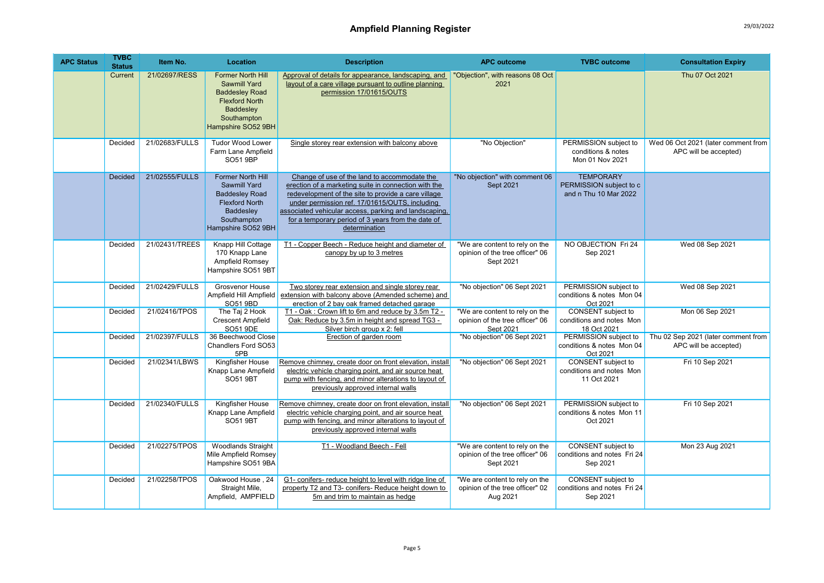| <b>APC Status</b> | <b>TVBC</b><br><b>Status</b> | Item No.       | Location                                                                                                                                            | <b>Description</b>                                                                                                                                                                                                                                                                                                                            | <b>APC outcome</b>                                                             | <b>TVBC</b> outcome                                                  | <b>Consultation Expiry</b>                                   |
|-------------------|------------------------------|----------------|-----------------------------------------------------------------------------------------------------------------------------------------------------|-----------------------------------------------------------------------------------------------------------------------------------------------------------------------------------------------------------------------------------------------------------------------------------------------------------------------------------------------|--------------------------------------------------------------------------------|----------------------------------------------------------------------|--------------------------------------------------------------|
|                   | Current                      | 21/02697/RESS  | <b>Former North Hill</b><br><b>Sawmill Yard</b><br><b>Baddesley Road</b><br><b>Flexford North</b><br>Baddesley<br>Southampton<br>Hampshire SO52 9BH | Approval of details for appearance, landscaping, and<br>layout of a care village pursuant to outline planning<br>permission 17/01615/OUTS                                                                                                                                                                                                     | "Objection", with reasons 08 Oct<br>2021                                       |                                                                      | Thu 07 Oct 2021                                              |
|                   | Decided                      | 21/02683/FULLS | <b>Tudor Wood Lower</b><br>Farm Lane Ampfield<br>SO51 9BP                                                                                           | Single storey rear extension with balcony above                                                                                                                                                                                                                                                                                               | "No Objection"                                                                 | PERMISSION subject to<br>conditions & notes<br>Mon 01 Nov 2021       | Wed 06 Oct 2021 (later comment from<br>APC will be accepted) |
|                   | Decided                      | 21/02555/FULLS | <b>Former North Hill</b><br>Sawmill Yard<br><b>Baddesley Road</b><br><b>Flexford North</b><br>Baddesley<br>Southampton<br>Hampshire SO52 9BH        | Change of use of the land to accommodate the<br>erection of a marketing suite in connection with the<br>redevelopment of the site to provide a care village<br>under permission ref. 17/01615/OUTS, including<br>associated vehicular access, parking and landscaping,<br>for a temporary period of 3 years from the date of<br>determination | "No objection" with comment 06<br>Sept 2021                                    | <b>TEMPORARY</b><br>PERMISSION subject to c<br>and n Thu 10 Mar 2022 |                                                              |
|                   | Decided                      | 21/02431/TREES | Knapp Hill Cottage<br>170 Knapp Lane<br>Ampfield Romsey<br>Hampshire SO51 9BT                                                                       | T1 - Copper Beech - Reduce height and diameter of<br>canopy by up to 3 metres                                                                                                                                                                                                                                                                 | "We are content to rely on the<br>opinion of the tree officer" 06<br>Sept 2021 | NO OBJECTION Fri 24<br>Sep 2021                                      | Wed 08 Sep 2021                                              |
|                   | Decided                      | 21/02429/FULLS | <b>Grosvenor House</b><br>Ampfield Hill Ampfield<br>SO51 9BD                                                                                        | Two storey rear extension and single storey rear<br>extension with balcony above (Amended scheme) and<br>erection of 2 bay oak framed detached garage                                                                                                                                                                                         | "No objection" 06 Sept 2021                                                    | PERMISSION subject to<br>conditions & notes Mon 04<br>Oct 2021       | Wed 08 Sep 2021                                              |
|                   | Decided                      | 21/02416/TPOS  | The Taj 2 Hook<br><b>Crescent Ampfield</b><br>SO51 9DE                                                                                              | T1 - Oak: Crown lift to 6m and reduce by 3.5m T2 -<br>Oak: Reduce by 3.5m in height and spread TG3 -<br>Silver birch group x 2: fell                                                                                                                                                                                                          | "We are content to rely on the<br>opinion of the tree officer" 06<br>Sept 2021 | CONSENT subject to<br>conditions and notes Mon<br>18 Oct 2021        | Mon 06 Sep 2021                                              |
|                   | Decided                      | 21/02397/FULLS | 36 Beechwood Close<br>Chandlers Ford SO53<br>5PB                                                                                                    | Erection of garden room                                                                                                                                                                                                                                                                                                                       | "No objection" 06 Sept 2021                                                    | PERMISSION subject to<br>conditions & notes Mon 04<br>Oct 2021       | Thu 02 Sep 2021 (later comment from<br>APC will be accepted) |
|                   | Decided                      | 21/02341/LBWS  | Kingfisher House<br>Knapp Lane Ampfield<br>SO51 9BT                                                                                                 | Remove chimney, create door on front elevation, install<br>electric vehicle charging point, and air source heat<br>pump with fencing, and minor alterations to layout of<br>previously approved internal walls                                                                                                                                | "No objection" 06 Sept 2021                                                    | CONSENT subject to<br>conditions and notes Mon<br>11 Oct 2021        | Fri 10 Sep 2021                                              |
|                   | Decided                      | 21/02340/FULLS | Kingfisher House<br>Knapp Lane Ampfield<br><b>SO51 9BT</b>                                                                                          | Remove chimney, create door on front elevation, install<br>electric vehicle charging point, and air source heat<br>pump with fencing, and minor alterations to layout of<br>previously approved internal walls                                                                                                                                | "No objection" 06 Sept 2021                                                    | PERMISSION subject to<br>conditions & notes Mon 11<br>Oct 2021       | Fri 10 Sep 2021                                              |
|                   | Decided                      | 21/02275/TPOS  | <b>Woodlands Straight</b><br>Mile Ampfield Romsey<br>Hampshire SO51 9BA                                                                             | T1 - Woodland Beech - Fell                                                                                                                                                                                                                                                                                                                    | "We are content to rely on the<br>opinion of the tree officer" 06<br>Sept 2021 | CONSENT subject to<br>conditions and notes Fri 24<br>Sep 2021        | Mon 23 Aug 2021                                              |
|                   | Decided                      | 21/02258/TPOS  | Oakwood House, 24<br>Straight Mile,<br>Ampfield, AMPFIELD                                                                                           | G1- conifers- reduce height to level with ridge line of<br>property T2 and T3- conifers- Reduce height down to<br>5m and trim to maintain as hedge                                                                                                                                                                                            | "We are content to rely on the<br>opinion of the tree officer" 02<br>Aug 2021  | CONSENT subject to<br>conditions and notes Fri 24<br>Sep 2021        |                                                              |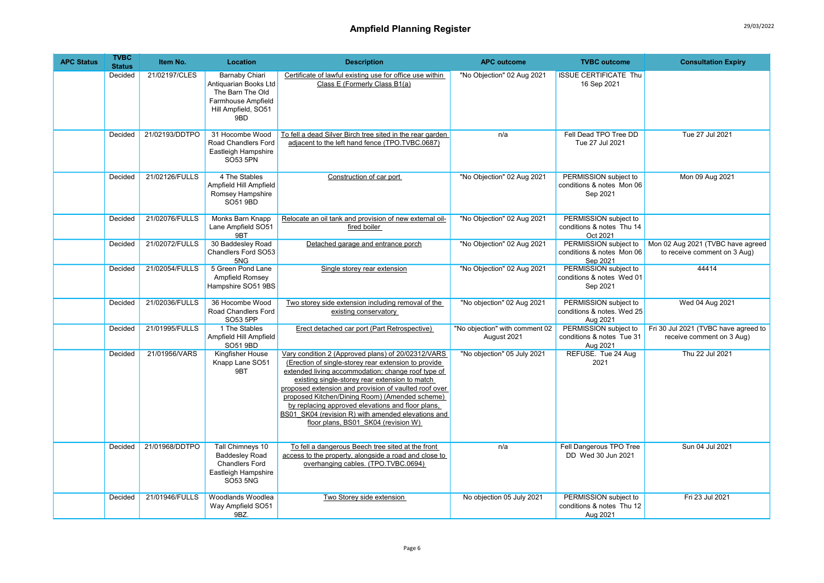| <b>APC Status</b> | <b>TVBC</b><br><b>Status</b> | Item No.       | Location                                                                                                               | <b>Description</b>                                                                                                                                                                                                                                                                                                                                                                                                                                                              | <b>APC outcome</b>                            | <b>TVBC</b> outcome                                             | <b>Consultation Expiry</b>                                        |
|-------------------|------------------------------|----------------|------------------------------------------------------------------------------------------------------------------------|---------------------------------------------------------------------------------------------------------------------------------------------------------------------------------------------------------------------------------------------------------------------------------------------------------------------------------------------------------------------------------------------------------------------------------------------------------------------------------|-----------------------------------------------|-----------------------------------------------------------------|-------------------------------------------------------------------|
|                   | Decided                      | 21/02197/CLES  | <b>Barnaby Chiari</b><br>Antiquarian Books Ltd<br>The Barn The Old<br>Farmhouse Ampfield<br>Hill Ampfield, SO51<br>9BD | Certificate of lawful existing use for office use within<br>Class E (Formerly Class B1(a)                                                                                                                                                                                                                                                                                                                                                                                       | "No Objection" 02 Aug 2021                    | <b>ISSUE CERTIFICATE Thu</b><br>16 Sep 2021                     |                                                                   |
|                   | Decided                      | 21/02193/DDTPO | 31 Hocombe Wood<br>Road Chandlers Ford<br>Eastleigh Hampshire<br>SO53 5PN                                              | To fell a dead Silver Birch tree sited in the rear garden<br>adjacent to the left hand fence (TPO.TVBC.0687)                                                                                                                                                                                                                                                                                                                                                                    | n/a                                           | Fell Dead TPO Tree DD<br>Tue 27 Jul 2021                        | Tue 27 Jul 2021                                                   |
|                   | Decided                      | 21/02126/FULLS | 4 The Stables<br>Ampfield Hill Ampfield<br>Romsey Hampshire<br>SO51 9BD                                                | Construction of car port                                                                                                                                                                                                                                                                                                                                                                                                                                                        | "No Objection" 02 Aug 2021                    | PERMISSION subject to<br>conditions & notes Mon 06<br>Sep 2021  | Mon 09 Aug 2021                                                   |
|                   | Decided                      | 21/02076/FULLS | Monks Barn Knapp<br>Lane Ampfield SO51<br>9BT                                                                          | Relocate an oil tank and provision of new external oil-<br>fired boiler                                                                                                                                                                                                                                                                                                                                                                                                         | "No Objection" 02 Aug 2021                    | PERMISSION subject to<br>conditions & notes Thu 14<br>Oct 2021  |                                                                   |
|                   | Decided                      | 21/02072/FULLS | 30 Baddesley Road<br>Chandlers Ford SO53<br>5NG                                                                        | Detached garage and entrance porch                                                                                                                                                                                                                                                                                                                                                                                                                                              | "No Objection" 02 Aug 2021                    | PERMISSION subject to<br>conditions & notes Mon 06<br>Sep 2021  | Mon 02 Aug 2021 (TVBC have agreed<br>to receive comment on 3 Aug) |
|                   | Decided                      | 21/02054/FULLS | 5 Green Pond Lane<br>Ampfield Romsey<br>Hampshire SO51 9BS                                                             | Single storey rear extension                                                                                                                                                                                                                                                                                                                                                                                                                                                    | "No Objection" 02 Aug 2021                    | PERMISSION subject to<br>conditions & notes Wed 01<br>Sep 2021  | 44414                                                             |
|                   | Decided                      | 21/02036/FULLS | 36 Hocombe Wood<br>Road Chandlers Ford<br>SO53 5PP                                                                     | Two storey side extension including removal of the<br>existing conservatory                                                                                                                                                                                                                                                                                                                                                                                                     | "No objection" 02 Aug 2021                    | PERMISSION subject to<br>conditions & notes. Wed 25<br>Aug 2021 | Wed 04 Aug 2021                                                   |
|                   | Decided                      | 21/01995/FULLS | 1 The Stables<br>Ampfield Hill Ampfield<br>SO51 9BD                                                                    | Erect detached car port (Part Retrospective)                                                                                                                                                                                                                                                                                                                                                                                                                                    | "No objection" with comment 02<br>August 2021 | PERMISSION subject to<br>conditions & notes Tue 31<br>Aug 2021  | Fri 30 Jul 2021 (TVBC have agreed to<br>receive comment on 3 Aug) |
|                   | Decided                      | 21/01956/VARS  | Kingfisher House<br>Knapp Lane SO51<br>9BT                                                                             | Vary condition 2 (Approved plans) of 20/02312/VARS<br>(Erection of single-storey rear extension to provide<br>extended living accommodation; change roof type of<br>existing single-storey rear extension to match<br>proposed extension and provision of vaulted roof over<br>proposed Kitchen/Dining Room) (Amended scheme)<br>by replacing approved elevations and floor plans,<br>BS01 SK04 (revision R) with amended elevations and<br>floor plans, BS01 SK04 (revision W) | "No objection" 05 July 2021                   | REFUSE. Tue 24 Aug<br>2021                                      | Thu 22 Jul 2021                                                   |
|                   | Decided                      | 21/01968/DDTPO | <b>Tall Chimneys 10</b><br><b>Baddesley Road</b><br><b>Chandlers Ford</b><br>Eastleigh Hampshire<br><b>SO53 5NG</b>    | To fell a dangerous Beech tree sited at the front<br>access to the property, alongside a road and close to<br>overhanging cables. (TPO.TVBC.0694)                                                                                                                                                                                                                                                                                                                               | n/a                                           | Fell Dangerous TPO Tree<br>DD Wed 30 Jun 2021                   | Sun 04 Jul 2021                                                   |
|                   | Decided                      | 21/01946/FULLS | Woodlands Woodlea<br>Way Ampfield SO51<br>9BZ.                                                                         | Two Storey side extension                                                                                                                                                                                                                                                                                                                                                                                                                                                       | No objection 05 July 2021                     | PERMISSION subject to<br>conditions & notes Thu 12<br>Aug 2021  | Fri 23 Jul 2021                                                   |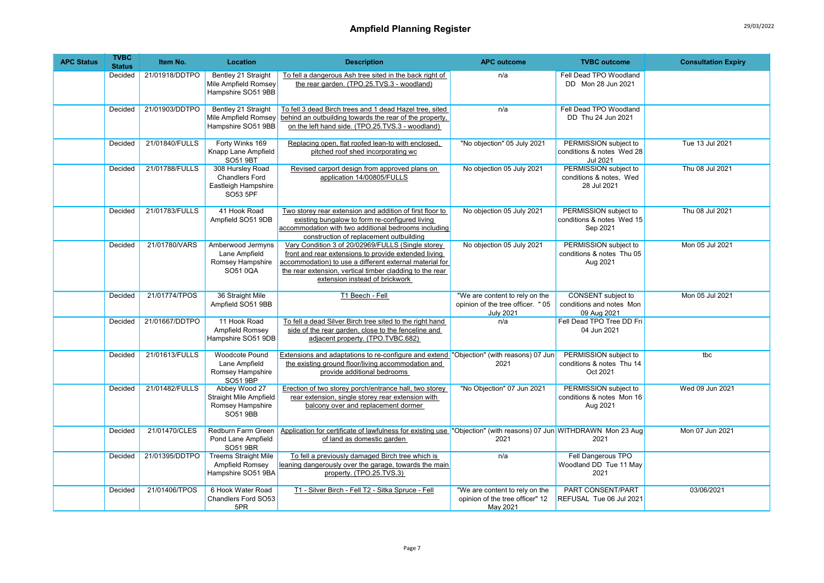| <b>APC Status</b> | <b>TVBC</b><br><b>Status</b> | Item No.       | Location                                                                       | <b>Description</b>                                                                                                                                                                                                                                                 | <b>APC outcome</b>                                                                      | <b>TVBC</b> outcome                                                  | <b>Consultation Expiry</b> |
|-------------------|------------------------------|----------------|--------------------------------------------------------------------------------|--------------------------------------------------------------------------------------------------------------------------------------------------------------------------------------------------------------------------------------------------------------------|-----------------------------------------------------------------------------------------|----------------------------------------------------------------------|----------------------------|
|                   | Decided                      | 21/01918/DDTPO | Bentley 21 Straight<br>Mile Ampfield Romsey<br>Hampshire SO51 9BB              | To fell a dangerous Ash tree sited in the back right of<br>the rear garden. (TPO.25.TVS.3 - woodland)                                                                                                                                                              | n/a                                                                                     | Fell Dead TPO Woodland<br>DD Mon 28 Jun 2021                         |                            |
|                   | Decided                      | 21/01903/DDTPO | Bentley 21 Straight<br>Mile Ampfield Romsey<br>Hampshire SO51 9BB              | To fell 3 dead Birch trees and 1 dead Hazel tree, sited<br>behind an outbuilding towards the rear of the property,<br>on the left hand side. (TPO.25.TVS.3 - woodland)                                                                                             | n/a                                                                                     | Fell Dead TPO Woodland<br>DD Thu 24 Jun 2021                         |                            |
|                   | Decided                      | 21/01840/FULLS | Forty Winks 169<br>Knapp Lane Ampfield<br>SO51 9BT                             | Replacing open, flat roofed lean-to with enclosed,<br>pitched roof shed incorporating wc                                                                                                                                                                           | "No objection" 05 July 2021                                                             | PERMISSION subject to<br>conditions & notes Wed 28<br>Jul 2021       | Tue 13 Jul 2021            |
|                   | Decided                      | 21/01788/FULLS | 308 Hursley Road<br><b>Chandlers Ford</b><br>Eastleigh Hampshire<br>SO53 5PF   | Revised carport design from approved plans on<br>application 14/00805/FULLS                                                                                                                                                                                        | No objection 05 July 2021                                                               | PERMISSION subject to<br>conditions & notes, Wed<br>28 Jul 2021      | Thu 08 Jul 2021            |
|                   | Decided                      | 21/01783/FULLS | 41 Hook Road<br>Ampfield SO51 9DB                                              | Two storey rear extension and addition of first floor to<br>existing bungalow to form re-configured living<br>accommodation with two additional bedrooms including<br>construction of replacement outbuilding                                                      | No objection 05 July 2021                                                               | PERMISSION subject to<br>conditions & notes Wed 15<br>Sep 2021       | Thu 08 Jul 2021            |
|                   | Decided                      | 21/01780/VARS  | Amberwood Jermyns<br>Lane Ampfield<br>Romsey Hampshire<br>SO51 0QA             | Vary Condition 3 of 20/02969/FULLS (Single storey<br>front and rear extensions to provide extended living<br>accommodation) to use a different external material for<br>the rear extension, vertical timber cladding to the rear<br>extension instead of brickwork | No objection 05 July 2021                                                               | PERMISSION subject to<br>conditions & notes Thu 05<br>Aug 2021       | Mon 05 Jul 2021            |
|                   | Decided                      | 21/01774/TPOS  | 36 Straight Mile<br>Ampfield SO51 9BB                                          | T1 Beech - Fell                                                                                                                                                                                                                                                    | "We are content to rely on the<br>opinion of the tree officer. " 05<br><b>July 2021</b> | <b>CONSENT</b> subject to<br>conditions and notes Mon<br>09 Aug 2021 | Mon 05 Jul 2021            |
|                   | Decided                      | 21/01667/DDTPO | 11 Hook Road<br>Ampfield Romsey<br>Hampshire SO51 9DB                          | To fell a dead Silver Birch tree sited to the right hand<br>side of the rear garden, close to the fenceline and<br>adjacent property. (TPO.TVBC.682)                                                                                                               | n/a                                                                                     | Fell Dead TPO Tree DD Fri<br>04 Jun 2021                             |                            |
|                   | Decided                      | 21/01613/FULLS | Woodcote Pound<br>Lane Ampfield<br>Romsey Hampshire<br>SO51 9BP                | Extensions and adaptations to re-configure and extend "Obiection" (with reasons) 07 Jun<br>the existing ground floor/living accommodation and<br>provide additional bedrooms                                                                                       | 2021                                                                                    | PERMISSION subject to<br>conditions & notes Thu 14<br>Oct 2021       | tbc                        |
|                   | Decided                      | 21/01482/FULLS | Abbey Wood 27<br>Straight Mile Ampfield<br>Romsey Hampshire<br><b>SO51 9BB</b> | Erection of two storey porch/entrance hall, two storey<br>rear extension, single storey rear extension with<br>balcony over and replacement dormer                                                                                                                 | "No Objection" 07 Jun 2021                                                              | PERMISSION subject to<br>conditions & notes Mon 16<br>Aug 2021       | Wed 09 Jun 2021            |
|                   | Decided                      | 21/01470/CLES  | Redburn Farm Green<br>Pond Lane Ampfield<br>SO51 9BR                           | Application for certificate of lawfulness for existing use "Objection" (with reasons) 07 Jun WITHDRAWN Mon 23 Aug<br>of land as domestic garden                                                                                                                    | 2021                                                                                    | 2021                                                                 | Mon 07 Jun 2021            |
|                   | Decided                      | 21/01395/DDTPO | <b>Treems Straight Mile</b><br>Ampfield Romsey<br>Hampshire SO51 9BA           | To fell a previously damaged Birch tree which is<br>leaning dangerously over the garage, towards the main<br>property. (TPO.25.TVS.3)                                                                                                                              | n/a                                                                                     | Fell Dangerous TPO<br>Woodland DD Tue 11 May<br>2021                 |                            |
|                   | Decided                      | 21/01406/TPOS  | 6 Hook Water Road<br>Chandlers Ford SO53<br>5PR                                | T1 - Silver Birch - Fell T2 - Sitka Spruce - Fell                                                                                                                                                                                                                  | "We are content to rely on the<br>opinion of the tree officer" 12<br>May 2021           | PART CONSENT/PART<br>REFUSAL Tue 06 Jul 2021                         | 03/06/2021                 |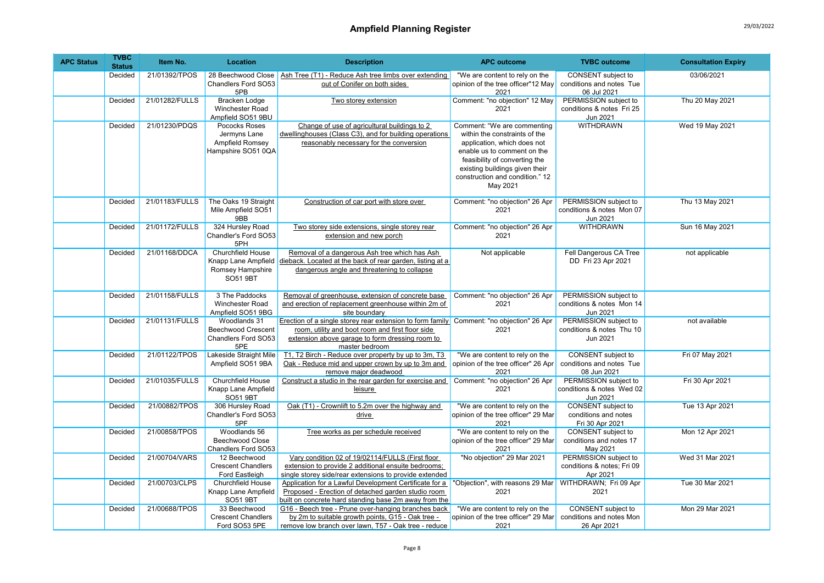| <b>APC Status</b> | <b>TVBC</b><br><b>Status</b> | Item No.       | Location                                                                        | <b>Description</b>                                                                                                                                                                                                | <b>APC outcome</b>                                                                                                                                                                                                                           | <b>TVBC</b> outcome                                             | <b>Consultation Expiry</b> |
|-------------------|------------------------------|----------------|---------------------------------------------------------------------------------|-------------------------------------------------------------------------------------------------------------------------------------------------------------------------------------------------------------------|----------------------------------------------------------------------------------------------------------------------------------------------------------------------------------------------------------------------------------------------|-----------------------------------------------------------------|----------------------------|
|                   | Decided                      | 21/01392/TPOS  | 28 Beechwood Close<br>Chandlers Ford SO53<br>5PB                                | Ash Tree (T1) - Reduce Ash tree limbs over extending<br>out of Conifer on both sides                                                                                                                              | "We are content to rely on the<br>opinion of the tree officer"12 May<br>2021                                                                                                                                                                 | CONSENT subject to<br>conditions and notes Tue<br>06 Jul 2021   | 03/06/2021                 |
|                   | Decided                      | 21/01282/FULLS | <b>Bracken Lodge</b><br>Winchester Road<br>Ampfield SO51 9BU                    | Two storey extension                                                                                                                                                                                              | Comment: "no objection" 12 May<br>2021                                                                                                                                                                                                       | PERMISSION subject to<br>conditions & notes Fri 25<br>Jun 2021  | Thu 20 May 2021            |
|                   | Decided                      | 21/01230/PDQS  | Pococks Roses<br>Jermyns Lane<br>Ampfield Romsey<br>Hampshire SO51 0QA          | Change of use of agricultural buildings to 2<br>dwellinghouses (Class C3), and for building operations<br>reasonably necessary for the conversion                                                                 | Comment: "We are commenting<br>within the constraints of the<br>application, which does not<br>enable us to comment on the<br>feasibility of converting the<br>existing buildings given their<br>construction and condition." 12<br>May 2021 | <b>WITHDRAWN</b>                                                | Wed 19 May 2021            |
|                   | Decided                      | 21/01183/FULLS | The Oaks 19 Straight<br>Mile Ampfield SO51<br>9BB                               | Construction of car port with store over                                                                                                                                                                          | Comment: "no objection" 26 Apr<br>2021                                                                                                                                                                                                       | PERMISSION subject to<br>conditions & notes Mon 07<br>Jun 2021  | Thu 13 May 2021            |
|                   | Decided                      | 21/01172/FULLS | 324 Hursley Road<br>Chandler's Ford SO53<br>5PH                                 | Two storey side extensions, single storey rear<br>extension and new porch                                                                                                                                         | Comment: "no objection" 26 Apr<br>2021                                                                                                                                                                                                       | <b>WITHDRAWN</b>                                                | Sun 16 May 2021            |
|                   | Decided                      | 21/01168/DDCA  | Churchfield House<br>Knapp Lane Ampfield<br>Romsey Hampshire<br><b>SO51 9BT</b> | Removal of a dangerous Ash tree which has Ash<br>dieback. Located at the back of rear garden, listing at a<br>dangerous angle and threatening to collapse                                                         | Not applicable                                                                                                                                                                                                                               | Fell Dangerous CA Tree<br>DD Fri 23 Apr 2021                    | not applicable             |
|                   | Decided                      | 21/01158/FULLS | 3 The Paddocks<br>Winchester Road<br>Ampfield SO51 9BG                          | Removal of greenhouse, extension of concrete base<br>and erection of replacement greenhouse within 2m of<br>site boundary                                                                                         | Comment: "no objection" 26 Apr<br>2021                                                                                                                                                                                                       | PERMISSION subject to<br>conditions & notes Mon 14<br>Jun 2021  |                            |
|                   | Decided                      | 21/01131/FULLS | Woodlands 31<br><b>Beechwood Crescent</b><br>Chandlers Ford SO53<br>5PE         | Erection of a single storey rear extension to form family Comment: "no objection" 26 Apr<br>room, utility and boot room and first floor side<br>extension above garage to form dressing room to<br>master bedroom | 2021                                                                                                                                                                                                                                         | PERMISSION subject to<br>conditions & notes Thu 10<br>Jun 2021  | not available              |
|                   | Decided                      | 21/01122/TPOS  | Lakeside Straight Mile<br>Ampfield SO51 9BA                                     | T1, T2 Birch - Reduce over property by up to 3m, T3<br>Oak - Reduce mid and upper crown by up to 3m and<br>remove maior deadwood                                                                                  | "We are content to rely on the<br>opinion of the tree officer" 26 Apr<br>2021                                                                                                                                                                | CONSENT subject to<br>conditions and notes Tue<br>08 Jun 2021   | Fri 07 May 2021            |
|                   | Decided                      | 21/01035/FULLS | Churchfield House<br>Knapp Lane Ampfield<br><b>SO51 9BT</b>                     | Construct a studio in the rear garden for exercise and<br>leisure                                                                                                                                                 | Comment: "no objection" 26 Apr<br>2021                                                                                                                                                                                                       | PERMISSION subject to<br>conditions & notes Wed 02<br>Jun 2021  | Fri 30 Apr 2021            |
|                   | Decided                      | 21/00882/TPOS  | 306 Hursley Road<br>Chandler's Ford SO53<br>5PF                                 | Oak (T1) - Crownlift to 5.2m over the highway and<br>drive                                                                                                                                                        | "We are content to rely on the<br>opinion of the tree officer" 29 Mar<br>2021                                                                                                                                                                | CONSENT subject to<br>conditions and notes<br>Fri 30 Apr 2021   | Tue 13 Apr 2021            |
|                   | Decided                      | 21/00858/TPOS  | Woodlands 56<br>Beechwood Close<br>Chandlers Ford SO53                          | Tree works as per schedule received                                                                                                                                                                               | "We are content to rely on the<br>opinion of the tree officer" 29 Mar<br>2021                                                                                                                                                                | CONSENT subject to<br>conditions and notes 17<br>May 2021       | Mon 12 Apr 2021            |
|                   | Decided                      | 21/00704/VARS  | 12 Beechwood<br><b>Crescent Chandlers</b><br>Ford Eastleigh                     | Vary condition 02 of 19/02114/FULLS (First floor<br>extension to provide 2 additional ensuite bedrooms;<br>single storey side/rear extensions to provide extended                                                 | "No objection" 29 Mar 2021                                                                                                                                                                                                                   | PERMISSION subject to<br>conditions & notes; Fri 09<br>Apr 2021 | Wed 31 Mar 2021            |
|                   | Decided                      | 21/00703/CLPS  | Churchfield House<br>Knapp Lane Ampfield<br>SO51 9BT                            | Application for a Lawful Development Certificate for a<br>Proposed - Erection of detached garden studio room<br>built on concrete hard standing base 2m away from the                                             | "Objection", with reasons 29 Mar<br>2021                                                                                                                                                                                                     | WITHDRAWN; Fri 09 Apr<br>2021                                   | Tue 30 Mar 2021            |
|                   | Decided                      | 21/00688/TPOS  | 33 Beechwood<br><b>Crescent Chandlers</b><br>Ford SO53 5PE                      | G16 - Beech tree - Prune over-hanging branches back<br>by 2m to suitable growth points, G15 - Oak tree -<br>remove low branch over lawn, T57 - Oak tree - reduce                                                  | "We are content to rely on the<br>opinion of the tree officer" 29 Mar<br>2021                                                                                                                                                                | CONSENT subject to<br>conditions and notes Mon<br>26 Apr 2021   | Mon 29 Mar 2021            |